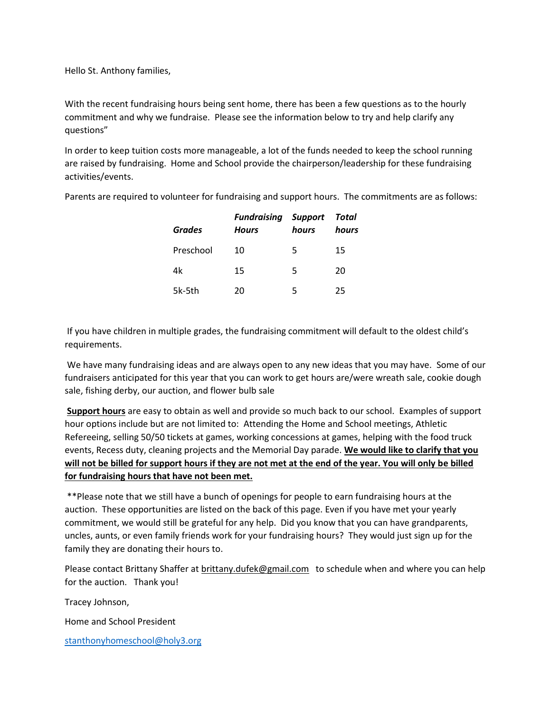Hello St. Anthony families,

With the recent fundraising hours being sent home, there has been a few questions as to the hourly commitment and why we fundraise. Please see the information below to try and help clarify any questions"

In order to keep tuition costs more manageable, a lot of the funds needed to keep the school running are raised by fundraising. Home and School provide the chairperson/leadership for these fundraising activities/events.

Parents are required to volunteer for fundraising and support hours. The commitments are as follows:

| <b>Grades</b> | <b>Fundraising Support</b><br><b>Hours</b> | hours | Total<br>hours |
|---------------|--------------------------------------------|-------|----------------|
| Preschool     | 10                                         | 5     | 15             |
| 4k            | 15                                         | 5     | 20             |
| 5k-5th        | 20                                         | 5     | 25             |

If you have children in multiple grades, the fundraising commitment will default to the oldest child's requirements.

We have many fundraising ideas and are always open to any new ideas that you may have. Some of our fundraisers anticipated for this year that you can work to get hours are/were wreath sale, cookie dough sale, fishing derby, our auction, and flower bulb sale

**Support hours** are easy to obtain as well and provide so much back to our school. Examples of support hour options include but are not limited to: Attending the Home and School meetings, Athletic Refereeing, selling 50/50 tickets at games, working concessions at games, helping with the food truck events, Recess duty, cleaning projects and the Memorial Day parade. **We would like to clarify that you will not be billed for support hours if they are not met at the end of the year. You will only be billed for fundraising hours that have not been met.** 

\*\*Please note that we still have a bunch of openings for people to earn fundraising hours at the auction. These opportunities are listed on the back of this page. Even if you have met your yearly commitment, we would still be grateful for any help. Did you know that you can have grandparents, uncles, aunts, or even family friends work for your fundraising hours? They would just sign up for the family they are donating their hours to.

Please contact Brittany Shaffer at brittany.dufek@gmail.com to schedule when and where you can help for the auction. Thank you!

Tracey Johnson,

Home and School President

[stanthonyhomeschool@holy3.org](mailto:stanthonyhomeschool@holy3.org)